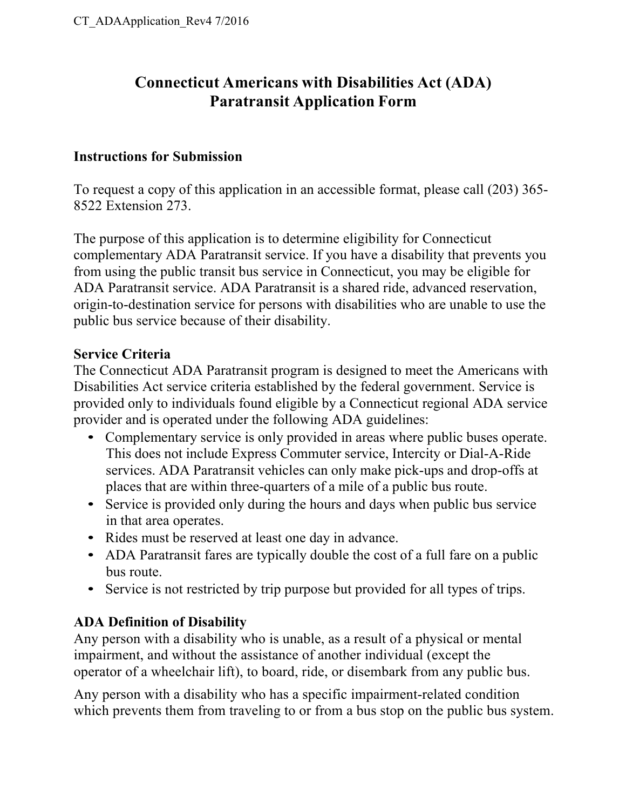## **Connecticut Americans with Disabilities Act (ADA) Paratransit Application Form**

### **Instructions for Submission**

To request a copy of this application in an accessible format, please call (203) 365- 8522 Extension 273.

The purpose of this application is to determine eligibility for Connecticut complementary ADA Paratransit service. If you have a disability that prevents you from using the public transit bus service in Connecticut, you may be eligible for ADA Paratransit service. ADA Paratransit is a shared ride, advanced reservation, origin-to-destination service for persons with disabilities who are unable to use the public bus service because of their disability.

### **Service Criteria**

The Connecticut ADA Paratransit program is designed to meet the Americans with Disabilities Act service criteria established by the federal government. Service is provided only to individuals found eligible by a Connecticut regional ADA service provider and is operated under the following ADA guidelines:

- Complementary service is only provided in areas where public buses operate. This does not include Express Commuter service, Intercity or Dial-A-Ride services. ADA Paratransit vehicles can only make pick-ups and drop-offs at places that are within three-quarters of a mile of a public bus route.
- Service is provided only during the hours and days when public bus service in that area operates.
- Rides must be reserved at least one day in advance.
- ADA Paratransit fares are typically double the cost of a full fare on a public bus route.
- Service is not restricted by trip purpose but provided for all types of trips.

### **ADA Definition of Disability**

Any person with a disability who is unable, as a result of a physical or mental impairment, and without the assistance of another individual (except the operator of a wheelchair lift), to board, ride, or disembark from any public bus.

Any person with a disability who has a specific impairment-related condition which prevents them from traveling to or from a bus stop on the public bus system.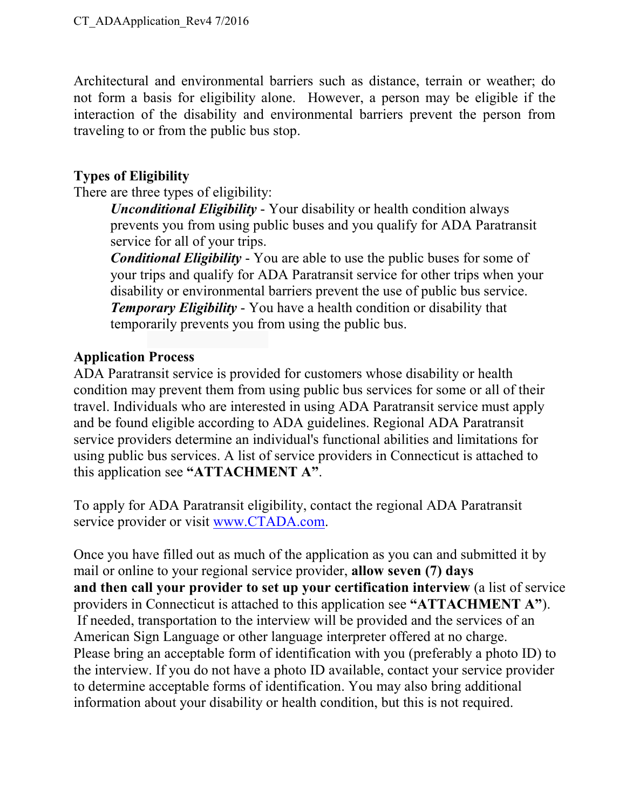Architectural and environmental barriers such as distance, terrain or weather; do not form a basis for eligibility alone. However, a person may be eligible if the interaction of the disability and environmental barriers prevent the person from traveling to or from the public bus stop.

### **Types of Eligibility**

There are three types of eligibility:

*Unconditional Eligibility* - Your disability or health condition always prevents you from using public buses and you qualify for ADA Paratransit service for all of your trips.

*Conditional Eligibility* - You are able to use the public buses for some of your trips and qualify for ADA Paratransit service for other trips when your disability or environmental barriers prevent the use of public bus service. *Temporary Eligibility* - You have a health condition or disability that temporarily prevents you from using the public bus.

### **Application Process**

ADA Paratransit service is provided for customers whose disability or health condition may prevent them from using public bus services for some or all of their travel. Individuals who are interested in using ADA Paratransit service must apply and be found eligible according to ADA guidelines. Regional ADA Paratransit service providers determine an individual's functional abilities and limitations for using public bus services. A list of service providers in Connecticut is attached to this application see **"ATTACHMENT A"**.

To apply for ADA Paratransit eligibility, contact the regional ADA Paratransit service provider or visit www.CTADA.com.

Once you have filled out as much of the application as you can and submitted it by mail or online to your regional service provider, **allow seven (7) days and then call your provider to set up your certification interview** (a list of service providers in Connecticut is attached to this application see **"ATTACHMENT A"**). If needed, transportation to the interview will be provided and the services of an American Sign Language or other language interpreter offered at no charge. Please bring an acceptable form of identification with you (preferably a photo ID) to the interview. If you do not have a photo ID available, contact your service provider to determine acceptable forms of identification. You may also bring additional information about your disability or health condition, but this is not required.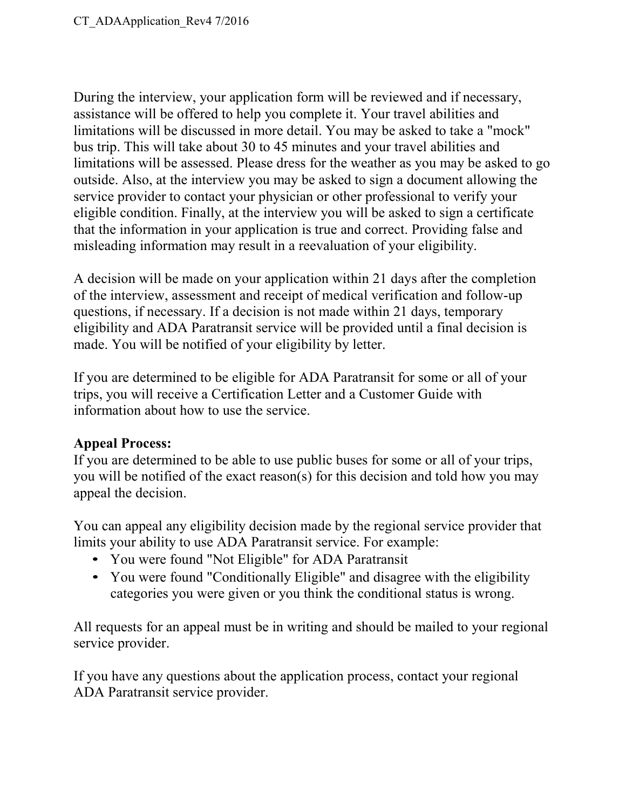During the interview, your application form will be reviewed and if necessary, assistance will be offered to help you complete it. Your travel abilities and limitations will be discussed in more detail. You may be asked to take a "mock" bus trip. This will take about 30 to 45 minutes and your travel abilities and limitations will be assessed. Please dress for the weather as you may be asked to go outside. Also, at the interview you may be asked to sign a document allowing the service provider to contact your physician or other professional to verify your eligible condition. Finally, at the interview you will be asked to sign a certificate that the information in your application is true and correct. Providing false and misleading information may result in a reevaluation of your eligibility.

A decision will be made on your application within 21 days after the completion of the interview, assessment and receipt of medical verification and follow-up questions, if necessary. If a decision is not made within 21 days, temporary eligibility and ADA Paratransit service will be provided until a final decision is made. You will be notified of your eligibility by letter.

If you are determined to be eligible for ADA Paratransit for some or all of your trips, you will receive a Certification Letter and a Customer Guide with information about how to use the service.

### **Appeal Process:**

If you are determined to be able to use public buses for some or all of your trips, you will be notified of the exact reason(s) for this decision and told how you may appeal the decision.

You can appeal any eligibility decision made by the regional service provider that limits your ability to use ADA Paratransit service. For example:

- You were found "Not Eligible" for ADA Paratransit
- You were found "Conditionally Eligible" and disagree with the eligibility categories you were given or you think the conditional status is wrong.

All requests for an appeal must be in writing and should be mailed to your regional service provider.

If you have any questions about the application process, contact your regional ADA Paratransit service provider.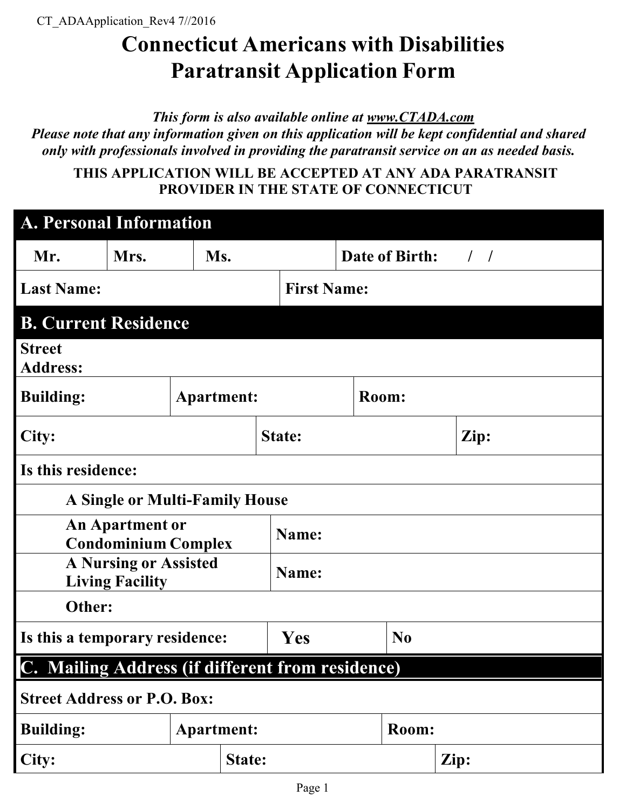## **Connecticut Americans with Disabilities Paratransit Application Form**

*This form is also available online at www.CTADA.com*

*Please note that any information given on this application will be kept confidential and shared only with professionals involved in providing the paratransit service on an as needed basis.*

**THIS APPLICATION WILL BE ACCEPTED AT ANY ADA PARATRANSIT PROVIDER IN THE STATE OF CONNECTICUT**

| <b>A. Personal Information</b>                         |                                                      |     |               |                    |                    |      |  |  |
|--------------------------------------------------------|------------------------------------------------------|-----|---------------|--------------------|--------------------|------|--|--|
| Mr.                                                    | Mrs.                                                 | Ms. |               |                    | Date of Birth: / / |      |  |  |
| <b>Last Name:</b>                                      |                                                      |     |               | <b>First Name:</b> |                    |      |  |  |
| <b>B. Current Residence</b>                            |                                                      |     |               |                    |                    |      |  |  |
| <b>Street</b><br><b>Address:</b>                       |                                                      |     |               |                    |                    |      |  |  |
| <b>Building:</b>                                       | <b>Apartment:</b>                                    |     |               |                    | Room:              |      |  |  |
| City:                                                  |                                                      |     |               | State:             |                    | Zip: |  |  |
| Is this residence:                                     |                                                      |     |               |                    |                    |      |  |  |
|                                                        | <b>A Single or Multi-Family House</b>                |     |               |                    |                    |      |  |  |
|                                                        | <b>An Apartment or</b><br><b>Condominium Complex</b> |     |               | Name:              |                    |      |  |  |
| <b>A Nursing or Assisted</b><br><b>Living Facility</b> |                                                      |     |               | Name:              |                    |      |  |  |
| Other:                                                 |                                                      |     |               |                    |                    |      |  |  |
| Is this a temporary residence:                         |                                                      |     |               | Yes                | N <sub>0</sub>     |      |  |  |
| C. Mailing Address (if different from residence)       |                                                      |     |               |                    |                    |      |  |  |
| <b>Street Address or P.O. Box:</b>                     |                                                      |     |               |                    |                    |      |  |  |
| <b>Building:</b>                                       | <b>Apartment:</b>                                    |     |               | Room:              |                    |      |  |  |
| City:                                                  |                                                      |     | <b>State:</b> |                    |                    | Zip: |  |  |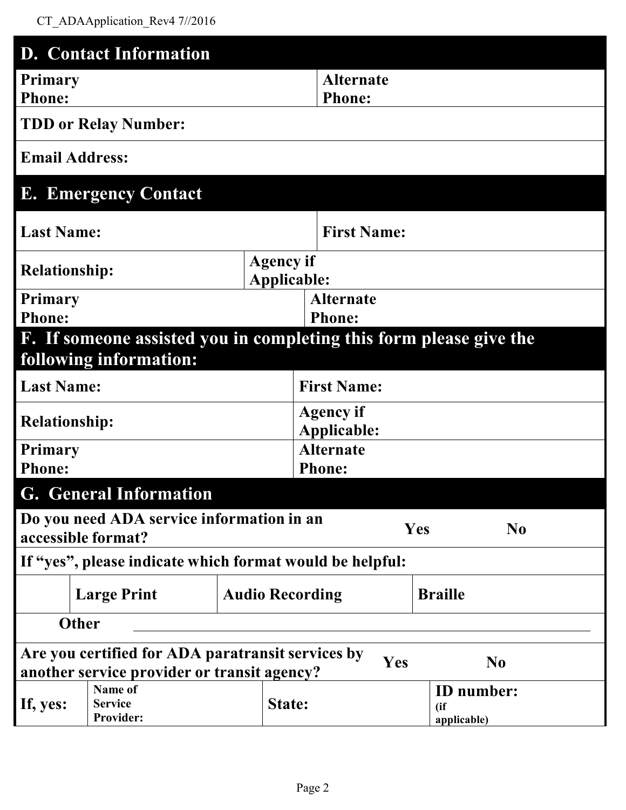|                                              | <b>D.</b> Contact Information                                                                    |                    |                                 |                                           |  |  |
|----------------------------------------------|--------------------------------------------------------------------------------------------------|--------------------|---------------------------------|-------------------------------------------|--|--|
| Primary                                      |                                                                                                  |                    | <b>Alternate</b>                |                                           |  |  |
| <b>Phone:</b>                                |                                                                                                  |                    | <b>Phone:</b>                   |                                           |  |  |
|                                              | <b>TDD or Relay Number:</b>                                                                      |                    |                                 |                                           |  |  |
|                                              | <b>Email Address:</b>                                                                            |                    |                                 |                                           |  |  |
|                                              | <b>E. Emergency Contact</b>                                                                      |                    |                                 |                                           |  |  |
| <b>Last Name:</b>                            |                                                                                                  |                    | <b>First Name:</b>              |                                           |  |  |
|                                              |                                                                                                  | <b>Agency if</b>   |                                 |                                           |  |  |
| <b>Relationship:</b>                         |                                                                                                  | <b>Applicable:</b> |                                 |                                           |  |  |
| <b>Primary</b>                               |                                                                                                  |                    | <b>Alternate</b>                |                                           |  |  |
| <b>Phone:</b>                                |                                                                                                  |                    | <b>Phone:</b>                   |                                           |  |  |
|                                              | F. If someone assisted you in completing this form please give the                               |                    |                                 |                                           |  |  |
|                                              | following information:                                                                           |                    |                                 |                                           |  |  |
| <b>Last Name:</b>                            |                                                                                                  |                    | <b>First Name:</b>              |                                           |  |  |
|                                              |                                                                                                  |                    |                                 |                                           |  |  |
| <b>Relationship:</b>                         |                                                                                                  |                    | <b>Agency if</b><br>Applicable: |                                           |  |  |
| <b>Primary</b>                               |                                                                                                  |                    | <b>Alternate</b>                |                                           |  |  |
| <b>Phone:</b>                                |                                                                                                  |                    | <b>Phone:</b>                   |                                           |  |  |
|                                              | <b>G.</b> General Information                                                                    |                    |                                 |                                           |  |  |
|                                              | Do you need ADA service information in an<br>accessible format?                                  |                    |                                 | <b>Yes</b><br>N <sub>0</sub>              |  |  |
|                                              | If "yes", please indicate which format would be helpful:                                         |                    |                                 |                                           |  |  |
| <b>Audio Recording</b><br><b>Large Print</b> |                                                                                                  |                    |                                 | <b>Braille</b>                            |  |  |
|                                              | <b>Other</b>                                                                                     |                    |                                 |                                           |  |  |
|                                              | Are you certified for ADA paratransit services by<br>another service provider or transit agency? |                    | Yes                             | $\bf No$                                  |  |  |
| If, yes:                                     | Name of<br><b>Service</b><br><b>Provider:</b>                                                    | State:             |                                 | <b>ID</b> number:<br>(i f)<br>applicable) |  |  |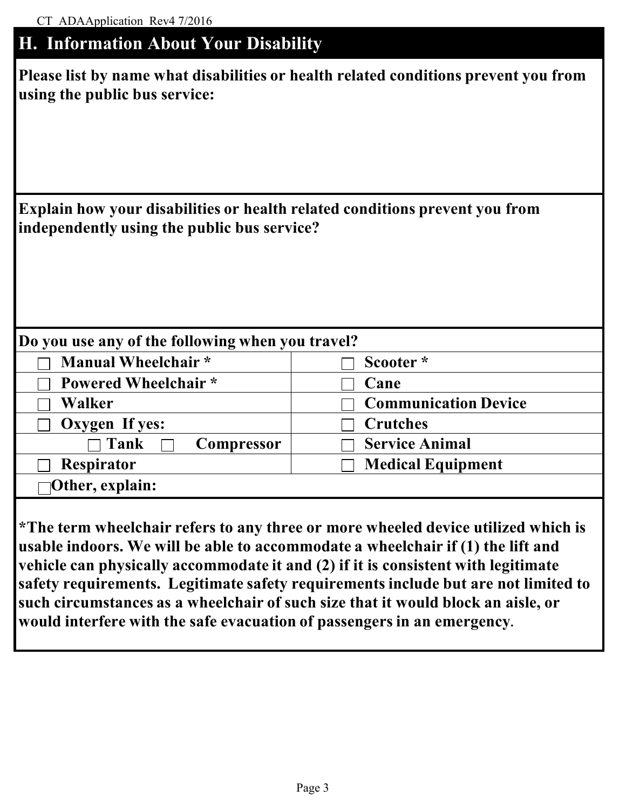| <b>H. Information About Your Disability</b> |  |  |  |
|---------------------------------------------|--|--|--|

| Please list by name what disabilities or health related conditions prevent you from |
|-------------------------------------------------------------------------------------|
| using the public bus service:                                                       |

| Explain how your disabilities or health related conditions prevent you from |
|-----------------------------------------------------------------------------|
| independently using the public bus service?                                 |

| Do you use any of the following when you travel? |                             |  |  |  |  |
|--------------------------------------------------|-----------------------------|--|--|--|--|
| Manual Wheelchair*                               | Scooter*                    |  |  |  |  |
| <b>Powered Wheelchair</b> *                      | Cane                        |  |  |  |  |
| Walker                                           | <b>Communication Device</b> |  |  |  |  |
| Oxygen If yes:                                   | <b>Crutches</b>             |  |  |  |  |
| $\sqcap$ Tank<br>Compressor                      | <b>Service Animal</b>       |  |  |  |  |
| <b>Respirator</b>                                | <b>Medical Equipment</b>    |  |  |  |  |
| $\neg$ Other, explain:                           |                             |  |  |  |  |

**\*The term wheelchair refers to any three or more wheeled device utilized which is usable indoors. We will be able to accommodate a wheelchair if (1) the lift and vehicle can physically accommodate it and (2) if it is consistent with legitimate safety requirements. Legitimate safety requirements include but are not limited to such circumstances as a wheelchair of such size that it would block an aisle, or would interfere with the safe evacuation of passengers in an emergency.**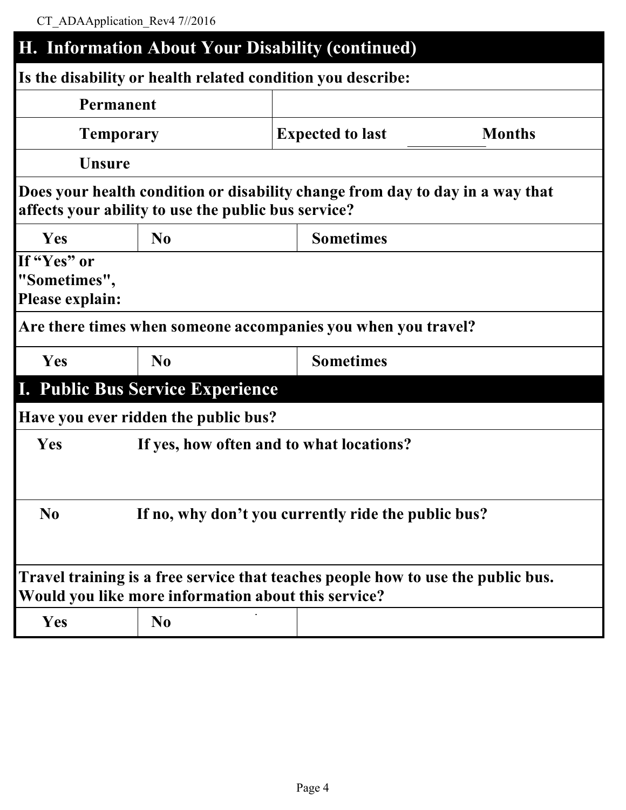# **H. Information About Your Disability (continued) Is the disability or health related condition you describe: Permanent Temporary Expected to last Months Unsure Does your health condition or disability change from day to day in a way that affects your ability to use the public bus service? Yes No Sometimes If "Yes" or "Sometimes", Please explain: Are there times when someone accompanies you when you travel? Yes No Sometimes I. Public Bus Service Experience Have you ever ridden the public bus? Yes If yes, how often and to what locations? No If no, why don't you currently ride the public bus? Travel training is a free service that teaches people how to use the public bus. Would you like more information about this service? Yes No**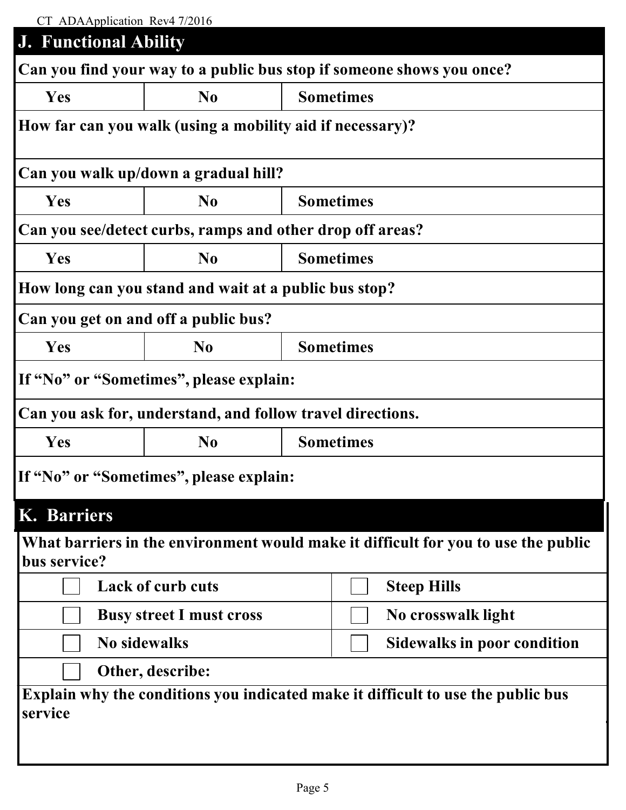| CT ADAApplication Rev4 7/2016                             |                                                            |                  |                                                                                    |  |
|-----------------------------------------------------------|------------------------------------------------------------|------------------|------------------------------------------------------------------------------------|--|
| <b>J. Functional Ability</b>                              |                                                            |                  |                                                                                    |  |
|                                                           |                                                            |                  | Can you find your way to a public bus stop if someone shows you once?              |  |
| Yes                                                       | N <sub>0</sub>                                             | <b>Sometimes</b> |                                                                                    |  |
| How far can you walk (using a mobility aid if necessary)? |                                                            |                  |                                                                                    |  |
|                                                           | Can you walk up/down a gradual hill?                       |                  |                                                                                    |  |
| Yes                                                       | N <sub>0</sub>                                             |                  | <b>Sometimes</b>                                                                   |  |
|                                                           | Can you see/detect curbs, ramps and other drop off areas?  |                  |                                                                                    |  |
| Yes                                                       | N <sub>0</sub>                                             |                  | <b>Sometimes</b>                                                                   |  |
| How long can you stand and wait at a public bus stop?     |                                                            |                  |                                                                                    |  |
| Can you get on and off a public bus?                      |                                                            |                  |                                                                                    |  |
| Yes                                                       | N <sub>0</sub>                                             |                  | <b>Sometimes</b>                                                                   |  |
| If "No" or "Sometimes", please explain:                   |                                                            |                  |                                                                                    |  |
|                                                           | Can you ask for, understand, and follow travel directions. |                  |                                                                                    |  |
| Yes                                                       | N <sub>0</sub>                                             | <b>Sometimes</b> |                                                                                    |  |
| If "No" or "Sometimes", please explain:                   |                                                            |                  |                                                                                    |  |
| K. Barriers                                               |                                                            |                  |                                                                                    |  |
| bus service?                                              |                                                            |                  | What barriers in the environment would make it difficult for you to use the public |  |
| <b>Lack of curb cuts</b>                                  |                                                            |                  | <b>Steep Hills</b>                                                                 |  |
| <b>Busy street I must cross</b>                           |                                                            |                  | No crosswalk light                                                                 |  |
| <b>No sidewalks</b><br><b>Sidewalks in poor condition</b> |                                                            |                  |                                                                                    |  |
|                                                           | Other, describe:                                           |                  |                                                                                    |  |
| service                                                   |                                                            |                  | Explain why the conditions you indicated make it difficult to use the public bus   |  |
|                                                           |                                                            |                  |                                                                                    |  |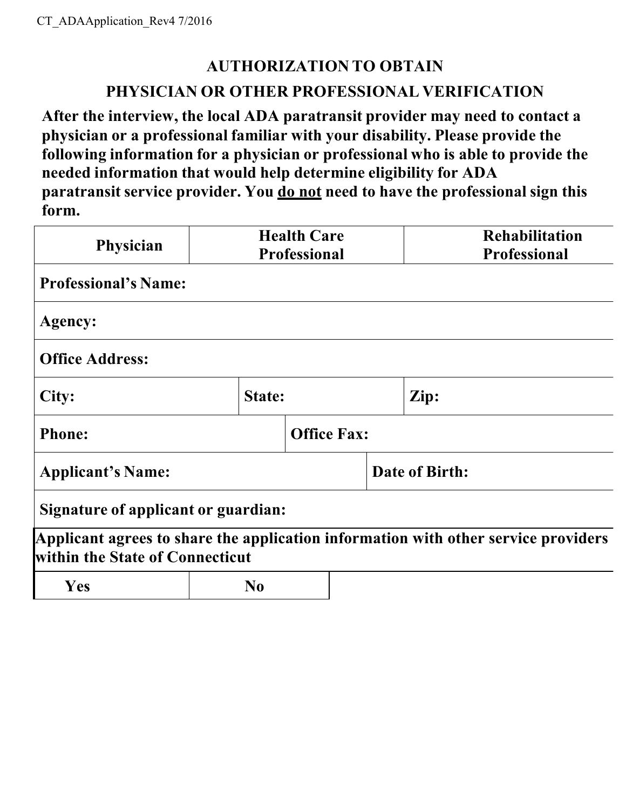## **AUTHORIZATION TO OBTAIN**

### **PHYSICIAN OR OTHER PROFESSIONAL VERIFICATION**

**After the interview, the local ADA paratransit provider may need to contact a physician or a professional familiar with your disability. Please provide the following information for a physician or professional who is able to provide the needed information that would help determine eligibility for ADA paratransit service provider. You do not need to have the professional sign this form.**

| <b>Physician</b>                    |                    | <b>Health Care</b><br><b>Professional</b> |                | <b>Rehabilitation</b><br><b>Professional</b>                                       |  |
|-------------------------------------|--------------------|-------------------------------------------|----------------|------------------------------------------------------------------------------------|--|
| <b>Professional's Name:</b>         |                    |                                           |                |                                                                                    |  |
| Agency:                             |                    |                                           |                |                                                                                    |  |
| <b>Office Address:</b>              |                    |                                           |                |                                                                                    |  |
| City:                               |                    | State:                                    |                | Zip:                                                                               |  |
| <b>Phone:</b>                       | <b>Office Fax:</b> |                                           |                |                                                                                    |  |
| <b>Applicant's Name:</b>            |                    |                                           | Date of Birth: |                                                                                    |  |
| Signature of applicant or guardian: |                    |                                           |                |                                                                                    |  |
| within the State of Connecticut     |                    |                                           |                | Applicant agrees to share the application information with other service providers |  |
| <b>Yes</b>                          | N <sub>0</sub>     |                                           |                |                                                                                    |  |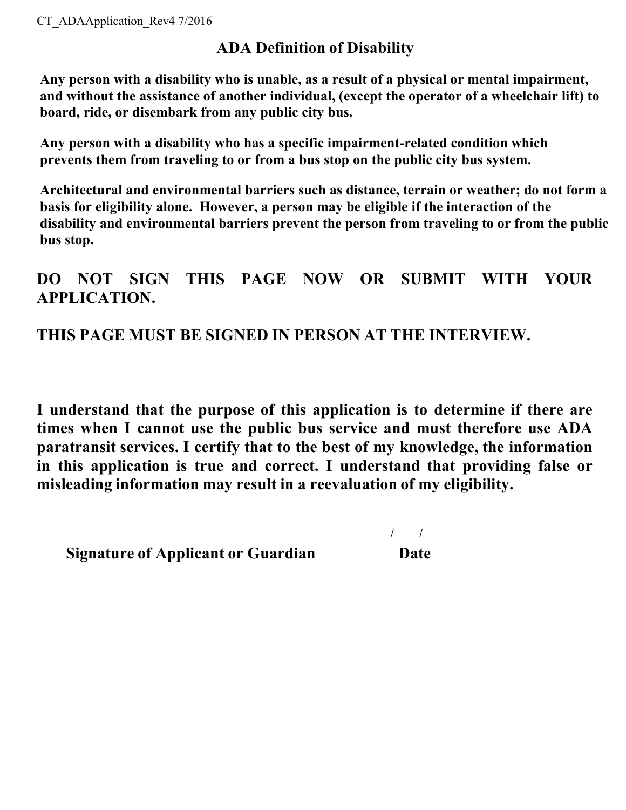## **ADA Definition of Disability**

**Any person with a disability who is unable, as a result of a physical or mental impairment, and without the assistance of another individual, (except the operator of a wheelchair lift) to board, ride, or disembark from any public city bus.**

**Any person with a disability who has a specific impairment-related condition which prevents them from traveling to or from a bus stop on the public city bus system.**

**Architectural and environmental barriers such as distance, terrain or weather; do not form a basis for eligibility alone. However, a person may be eligible if the interaction of the disability and environmental barriers prevent the person from traveling to or from the public bus stop.**

## **DO NOT SIGN THIS PAGE NOW OR SUBMIT WITH YOUR APPLICATION.**

## **THIS PAGE MUST BE SIGNED IN PERSON AT THE INTERVIEW.**

**I understand that the purpose of this application is to determine if there are times when I cannot use the public bus service and must therefore use ADA paratransit services. I certify that to the best of my knowledge, the information in this application is true and correct. I understand that providing false or misleading information may result in a reevaluation of my eligibility.**

| <b>Signature of Applicant or Guardian</b> | Date |
|-------------------------------------------|------|